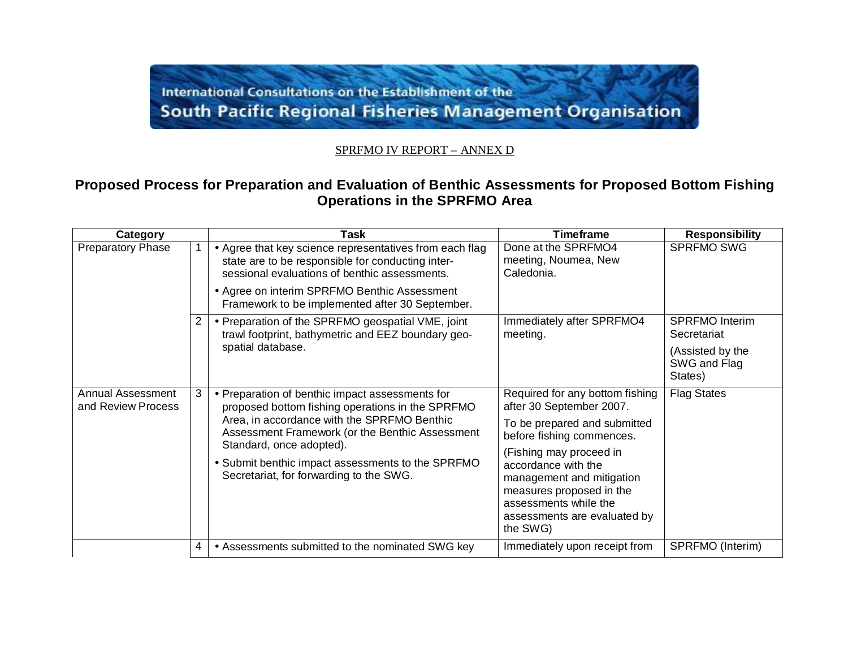## International Consultations on the Establishment of the **South Pacific Regional Fisheries Management Organisation**

## SPRFMO IV REPORT – ANNEX D

## **Proposed Process for Preparation and Evaluation of Benthic Assessments for Proposed Bottom Fishing Operations in the SPRFMO Area**

| Category                                       |   | Task                                                                                                                                                                                                                                                                                                                              | <b>Timeframe</b>                                                                                                                                                             | <b>Responsibility</b>                       |
|------------------------------------------------|---|-----------------------------------------------------------------------------------------------------------------------------------------------------------------------------------------------------------------------------------------------------------------------------------------------------------------------------------|------------------------------------------------------------------------------------------------------------------------------------------------------------------------------|---------------------------------------------|
| <b>Preparatory Phase</b>                       |   | • Agree that key science representatives from each flag<br>state are to be responsible for conducting inter-<br>sessional evaluations of benthic assessments.                                                                                                                                                                     | Done at the SPRFMO4<br>meeting, Noumea, New<br>Caledonia.                                                                                                                    | <b>SPRFMO SWG</b>                           |
|                                                |   | • Agree on interim SPRFMO Benthic Assessment<br>Framework to be implemented after 30 September.                                                                                                                                                                                                                                   |                                                                                                                                                                              |                                             |
|                                                | 2 | • Preparation of the SPRFMO geospatial VME, joint<br>trawl footprint, bathymetric and EEZ boundary geo-                                                                                                                                                                                                                           | Immediately after SPRFMO4<br>meeting.                                                                                                                                        | <b>SPRFMO Interim</b><br>Secretariat        |
|                                                |   | spatial database.                                                                                                                                                                                                                                                                                                                 |                                                                                                                                                                              | (Assisted by the<br>SWG and Flag<br>States) |
| <b>Annual Assessment</b><br>and Review Process | 3 | • Preparation of benthic impact assessments for<br>proposed bottom fishing operations in the SPRFMO<br>Area, in accordance with the SPRFMO Benthic<br>Assessment Framework (or the Benthic Assessment<br>Standard, once adopted).<br>• Submit benthic impact assessments to the SPRFMO<br>Secretariat, for forwarding to the SWG. | Required for any bottom fishing<br>after 30 September 2007.                                                                                                                  | <b>Flag States</b>                          |
|                                                |   |                                                                                                                                                                                                                                                                                                                                   | To be prepared and submitted<br>before fishing commences.                                                                                                                    |                                             |
|                                                |   |                                                                                                                                                                                                                                                                                                                                   | (Fishing may proceed in<br>accordance with the<br>management and mitigation<br>measures proposed in the<br>assessments while the<br>assessments are evaluated by<br>the SWG) |                                             |
|                                                | 4 | • Assessments submitted to the nominated SWG key                                                                                                                                                                                                                                                                                  | Immediately upon receipt from                                                                                                                                                | SPRFMO (Interim)                            |